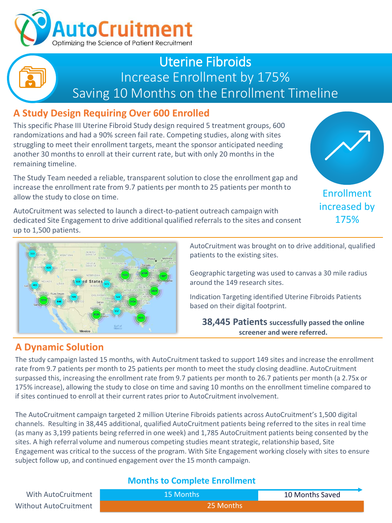

## Uterine Fibroids Increase Enrollment by 175% Saving 10 Months on the Enrollment Timeline

## **A Study Design Requiring Over 600 Enrolled**

This specific Phase III Uterine Fibroid Study design required 5 treatment groups, 600 randomizations and had a 90% screen fail rate. Competing studies, along with sites struggling to meet their enrollment targets, meant the sponsor anticipated needing another 30 months to enroll at their current rate, but with only 20 months in the remaining timeline.

The Study Team needed a reliable, transparent solution to close the enrollment gap and increase the enrollment rate from 9.7 patients per month to 25 patients per month to allow the study to close on time.

AutoCruitment was selected to launch a direct-to-patient outreach campaign with dedicated Site Engagement to drive additional qualified referrals to the sites and consent up to 1,500 patients.





AutoCruitment was brought on to drive additional, qualified patients to the existing sites.

Geographic targeting was used to canvas a 30 mile radius around the 149 research sites.

Indication Targeting identified Uterine Fibroids Patients based on their digital footprint.

**38,445 Patients successfully passed the online screener and were referred.**

### **A Dynamic Solution**

The study campaign lasted 15 months, with AutoCruitment tasked to support 149 sites and increase the enrollment rate from 9.7 patients per month to 25 patients per month to meet the study closing deadline. AutoCruitment surpassed this, increasing the enrollment rate from 9.7 patients per month to 26.7 patients per month (a 2.75x or 175% increase), allowing the study to close on time and saving 10 months on the enrollment timeline compared to if sites continued to enroll at their current rates prior to AutoCruitment involvement.

The AutoCruitment campaign targeted 2 million Uterine Fibroids patients across AutoCruitment's 1,500 digital channels. Resulting in 38,445 additional, qualified AutoCruitment patients being referred to the sites in real time (as many as 3,199 patients being referred in one week) and 1,785 AutoCruitment patients being consented by the sites. A high referral volume and numerous competing studies meant strategic, relationship based, Site Engagement was critical to the success of the program. With Site Engagement working closely with sites to ensure subject follow up, and continued engagement over the 15 month campaign.

#### **Months to Complete Enrollment**

| With AutoCruitment    | 15 Months | 10 Months Saved |
|-----------------------|-----------|-----------------|
| Without AutoCruitment | 25 Months |                 |